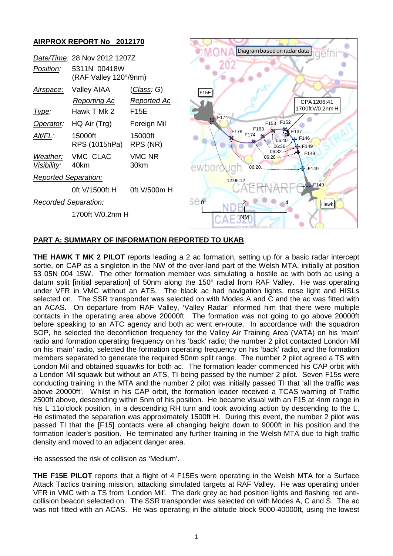

## **PART A: SUMMARY OF INFORMATION REPORTED TO UKAB**

**THE HAWK T MK 2 PILOT** reports leading a 2 ac formation, setting up for a basic radar intercept sortie, on CAP as a singleton in the NW of the over-land part of the Welsh MTA, initially at position 53 05N 004 15W. The other formation member was simulating a hostile ac with both ac using a datum split [initial separation] of 50nm along the 150° radial from RAF Valley. He was operating under VFR in VMC without an ATS. The black ac had navigation lights, nose light and HISLs selected on. The SSR transponder was selected on with Modes A and C and the ac was fitted with an ACAS. On departure from RAF Valley, 'Valley Radar' informed him that there were multiple contacts in the operating area above 20000ft. The formation was not going to go above 20000ft before speaking to an ATC agency and both ac went en-route. In accordance with the squadron SOP, he selected the deconfliction frequency for the Valley Air Training Area (VATA) on his 'main' radio and formation operating frequency on his 'back' radio; the number 2 pilot contacted London Mil on his 'main' radio, selected the formation operating frequency on his 'back' radio, and the formation members separated to generate the required 50nm split range. The number 2 pilot agreed a TS with London Mil and obtained squawks for both ac. The formation leader commenced his CAP orbit with a London Mil squawk but without an ATS, TI being passed by the number 2 pilot. Seven F15s were conducting training in the MTA and the number 2 pilot was initially passed TI that 'all the traffic was above 20000ft'. Whilst in his CAP orbit, the formation leader received a TCAS warning of Traffic 2500ft above, descending within 5nm of his position. He became visual with an F15 at 4nm range in his L 11o'clock position, in a descending RH turn and took avoiding action by descending to the L. He estimated the separation was approximately 1500ft H. During this event, the number 2 pilot was passed TI that the [F15] contacts were all changing height down to 9000ft in his position and the formation leader's position. He terminated any further training in the Welsh MTA due to high traffic density and moved to an adjacent danger area.

He assessed the risk of collision as 'Medium'.

**THE F15E PILOT** reports that a flight of 4 F15Es were operating in the Welsh MTA for a Surface Attack Tactics training mission, attacking simulated targets at RAF Valley. He was operating under VFR in VMC with a TS from 'London Mil'. The dark grey ac had position lights and flashing red anticollision beacon selected on. The SSR transponder was selected on with Modes A, C and S. The ac was not fitted with an ACAS. He was operating in the altitude block 9000-40000ft, using the lowest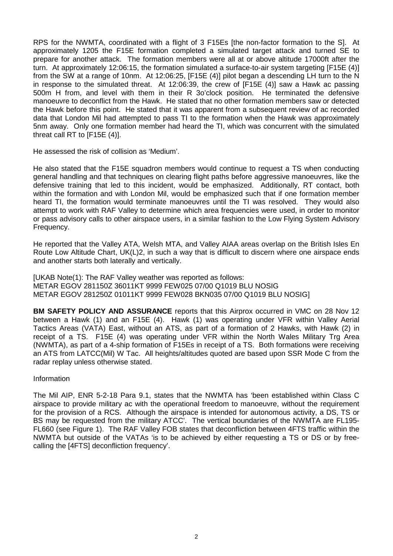RPS for the NWMTA, coordinated with a flight of 3 F15Es [the non-factor formation to the S]. At approximately 1205 the F15E formation completed a simulated target attack and turned SE to prepare for another attack. The formation members were all at or above altitude 17000ft after the turn. At approximately 12:06:15, the formation simulated a surface-to-air system targeting [F15E (4)] from the SW at a range of 10nm. At 12:06:25, [F15E (4)] pilot began a descending LH turn to the N in response to the simulated threat. At 12:06:39, the crew of [F15E (4)] saw a Hawk ac passing 500m H from, and level with them in their R 3o'clock position. He terminated the defensive manoeuvre to deconflict from the Hawk. He stated that no other formation members saw or detected the Hawk before this point. He stated that it was apparent from a subsequent review of ac recorded data that London Mil had attempted to pass TI to the formation when the Hawk was approximately 5nm away. Only one formation member had heard the TI, which was concurrent with the simulated threat call RT to [F15E (4)].

He assessed the risk of collision as 'Medium'.

He also stated that the F15E squadron members would continue to request a TS when conducting general handling and that techniques on clearing flight paths before aggressive manoeuvres, like the defensive training that led to this incident, would be emphasized. Additionally, RT contact, both within the formation and with London Mil, would be emphasized such that if one formation member heard TI, the formation would terminate manoeuvres until the TI was resolved. They would also attempt to work with RAF Valley to determine which area frequencies were used, in order to monitor or pass advisory calls to other airspace users, in a similar fashion to the Low Flying System Advisory Frequency.

He reported that the Valley ATA, Welsh MTA, and Valley AIAA areas overlap on the British Isles En Route Low Altitude Chart, UK(L)2, in such a way that is difficult to discern where one airspace ends and another starts both laterally and vertically.

[UKAB Note(1): The RAF Valley weather was reported as follows: METAR EGOV 281150Z 36011KT 9999 FEW025 07/00 Q1019 BLU NOSIG METAR EGOV 281250Z 01011KT 9999 FEW028 BKN035 07/00 Q1019 BLU NOSIG]

**BM SAFETY POLICY AND ASSURANCE** reports that this Airprox occurred in VMC on 28 Nov 12 between a Hawk (1) and an F15E (4). Hawk (1) was operating under VFR within Valley Aerial Tactics Areas (VATA) East, without an ATS, as part of a formation of 2 Hawks, with Hawk (2) in receipt of a TS. F15E (4) was operating under VFR within the North Wales Military Trg Area (NWMTA), as part of a 4-ship formation of F15Es in receipt of a TS. Both formations were receiving an ATS from LATCC(Mil) W Tac. All heights/altitudes quoted are based upon SSR Mode C from the radar replay unless otherwise stated.

## Information

The Mil AIP, ENR 5-2-18 Para 9.1, states that the NWMTA has 'been established within Class C airspace to provide military ac with the operational freedom to manoeuvre, without the requirement for the provision of a RCS. Although the airspace is intended for autonomous activity, a DS, TS or BS may be requested from the military ATCC'. The vertical boundaries of the NWMTA are FL195- FL660 (see Figure 1). The RAF Valley FOB states that deconfliction between 4FTS traffic within the NWMTA but outside of the VATAs 'is to be achieved by either requesting a TS or DS or by freecalling the [4FTS] deconfliction frequency'.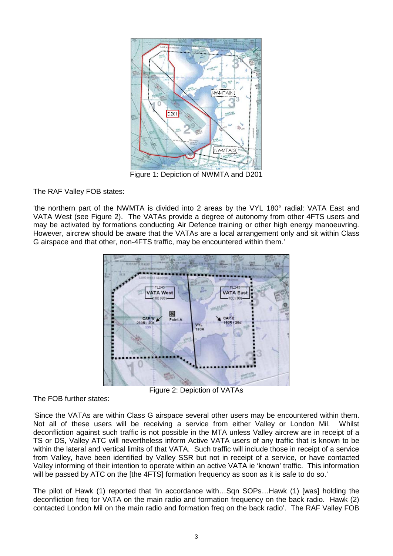

Figure 1: Depiction of NWMTA and D201

The RAF Valley FOB states:

'the northern part of the NWMTA is divided into 2 areas by the VYL 180° radial: VATA East and VATA West (see Figure 2). The VATAs provide a degree of autonomy from other 4FTS users and may be activated by formations conducting Air Defence training or other high energy manoeuvring. However, aircrew should be aware that the VATAs are a local arrangement only and sit within Class G airspace and that other, non-4FTS traffic, may be encountered within them.'



Figure 2: Depiction of VATAs

The FOB further states:

'Since the VATAs are within Class G airspace several other users may be encountered within them. Not all of these users will be receiving a service from either Valley or London Mil. Whilst deconfliction against such traffic is not possible in the MTA unless Valley aircrew are in receipt of a TS or DS, Valley ATC will nevertheless inform Active VATA users of any traffic that is known to be within the lateral and vertical limits of that VATA. Such traffic will include those in receipt of a service from Valley, have been identified by Valley SSR but not in receipt of a service, or have contacted Valley informing of their intention to operate within an active VATA ie 'known' traffic. This information will be passed by ATC on the [the 4FTS] formation frequency as soon as it is safe to do so.'

The pilot of Hawk (1) reported that 'In accordance with…Sqn SOPs…Hawk (1) [was] holding the deconfliction freq for VATA on the main radio and formation frequency on the back radio. Hawk (2) contacted London Mil on the main radio and formation freq on the back radio'. The RAF Valley FOB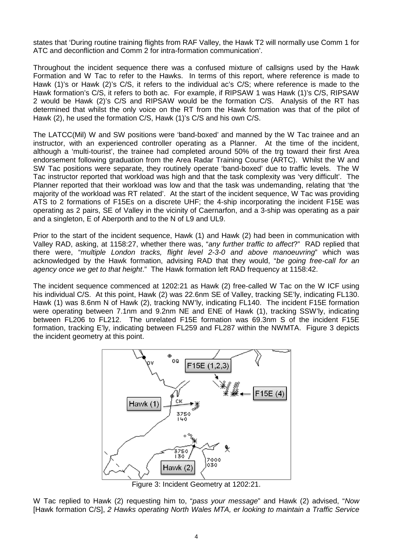states that 'During routine training flights from RAF Valley, the Hawk T2 will normally use Comm 1 for ATC and deconfliction and Comm 2 for intra-formation communication'.

Throughout the incident sequence there was a confused mixture of callsigns used by the Hawk Formation and W Tac to refer to the Hawks. In terms of this report, where reference is made to Hawk (1)'s or Hawk (2)'s C/S, it refers to the individual ac's C/S; where reference is made to the Hawk formation's C/S, it refers to both ac. For example, if RIPSAW 1 was Hawk (1)'s C/S, RIPSAW 2 would be Hawk (2)'s C/S and RIPSAW would be the formation C/S. Analysis of the RT has determined that whilst the only voice on the RT from the Hawk formation was that of the pilot of Hawk (2), he used the formation C/S, Hawk (1)'s C/S and his own C/S.

The LATCC(Mil) W and SW positions were 'band-boxed' and manned by the W Tac trainee and an instructor, with an experienced controller operating as a Planner. At the time of the incident, although a 'multi-tourist', the trainee had completed around 50% of the trg toward their first Area endorsement following graduation from the Area Radar Training Course (ARTC). Whilst the W and SW Tac positions were separate, they routinely operate 'band-boxed' due to traffic levels. The W Tac instructor reported that workload was high and that the task complexity was 'very difficult'. The Planner reported that their workload was low and that the task was undemanding, relating that 'the majority of the workload was RT related'. At the start of the incident sequence, W Tac was providing ATS to 2 formations of F15Es on a discrete UHF; the 4-ship incorporating the incident F15E was operating as 2 pairs, SE of Valley in the vicinity of Caernarfon, and a 3-ship was operating as a pair and a singleton, E of Aberporth and to the N of L9 and UL9.

Prior to the start of the incident sequence, Hawk (1) and Hawk (2) had been in communication with Valley RAD, asking, at 1158:27, whether there was, "*any further traffic to affect*?" RAD replied that there were, "*multiple London tracks, flight level 2-3-0 and above manoeuvring*" which was acknowledged by the Hawk formation, advising RAD that they would, "*be going free-call for an agency once we get to that height*." The Hawk formation left RAD frequency at 1158:42.

The incident sequence commenced at 1202:21 as Hawk (2) free-called W Tac on the W ICF using his individual C/S. At this point, Hawk (2) was 22.6nm SE of Valley, tracking SE'ly, indicating FL130. Hawk (1) was 8.6nm N of Hawk (2), tracking NW'ly, indicating FL140. The incident F15E formation were operating between 7.1nm and 9.2nm NE and ENE of Hawk (1), tracking SSW'ly, indicating between FL206 to FL212. The unrelated F15E formation was 69.3nm S of the incident F15E formation, tracking E'ly, indicating between FL259 and FL287 within the NWMTA. Figure 3 depicts the incident geometry at this point.



W Tac replied to Hawk (2) requesting him to, "*pass your message*" and Hawk (2) advised, "*Now*  [Hawk formation C/S], *2 Hawks operating North Wales MTA, er looking to maintain a Traffic Service*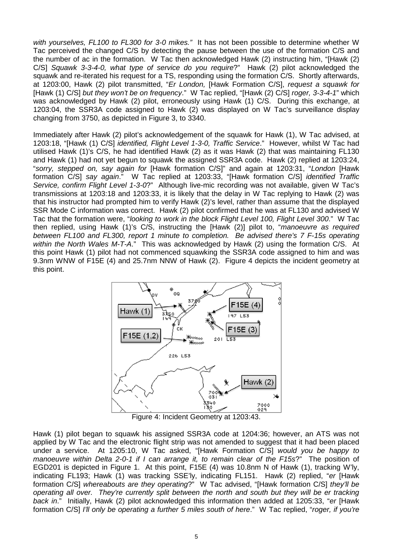*with yourselves, FL100 to FL300 for 3-0 mikes."* It has not been possible to determine whether W Tac perceived the changed C/S by detecting the pause between the use of the formation C/S and the number of ac in the formation. W Tac then acknowledged Hawk (2) instructing him, "[Hawk (2) C/S] *Squawk 3-3-4-0, what type of service do you require*?" Hawk (2) pilot acknowledged the squawk and re-iterated his request for a TS, responding using the formation C/S. Shortly afterwards, at 1203:00, Hawk (2) pilot transmitted, "*Er London,* [Hawk Formation C/S], *request a squawk for*  [Hawk (1) C/S] *but they won't be on frequency*." W Tac replied, "[Hawk (2) C/S] *roger, 3-3-4-1*" which was acknowledged by Hawk (2) pilot, erroneously using Hawk (1) C/S. During this exchange, at 1203:04, the SSR3A code assigned to Hawk (2) was displayed on W Tac's surveillance display changing from 3750, as depicted in Figure 3, to 3340.

Immediately after Hawk (2) pilot's acknowledgement of the squawk for Hawk (1), W Tac advised, at 1203:18, "[Hawk (1) C/S] *identified, Flight Level 1-3-0, Traffic Service*." However, whilst W Tac had utilised Hawk (1)'s C/S, he had identified Hawk (2) as it was Hawk (2) that was maintaining FL130 and Hawk (1) had not yet begun to squawk the assigned SSR3A code. Hawk (2) replied at 1203:24, "*sorry, stepped on, say again for* [Hawk formation C/S]" and again at 1203:31, "*London* [Hawk formation C/S] *say again*." W Tac replied at 1203:33, "[Hawk formation C/S] *identified Traffic Service, confirm Flight Level 1-3-0*?" Although live-mic recording was not available, given W Tac's transmissions at 1203:18 and 1203:33, it is likely that the delay in W Tac replying to Hawk (2) was that his instructor had prompted him to verify Hawk (2)'s level, rather than assume that the displayed SSR Mode C information was correct. Hawk (2) pilot confirmed that he was at FL130 and advised W Tac that the formation were, "*looking to work in the block Flight Level 100, Flight Level 300*." W Tac then replied, using Hawk (1)'s C/S, instructing the [Hawk (2)] pilot to, "*manoeuvre as required between FL100 and FL300, report 1 minute to completion. Be advised there's 7 F-15s operating within the North Wales M-T-A*." This was acknowledged by Hawk (2) using the formation C/S. At this point Hawk (1) pilot had not commenced squawking the SSR3A code assigned to him and was 9.3nm WNW of F15E (4) and 25.7nm NNW of Hawk (2). Figure 4 depicts the incident geometry at this point.



Figure 4: Incident Geometry at 1203:43.

Hawk (1) pilot began to squawk his assigned SSR3A code at 1204:36; however, an ATS was not applied by W Tac and the electronic flight strip was not amended to suggest that it had been placed under a service. At 1205:10, W Tac asked, "[Hawk Formation C/S] *would you be happy to manoeuvre within Delta 2-0-1 if I can arrange it, to remain clear of the F15s*?" The position of EGD201 is depicted in Figure 1. At this point, F15E (4) was 10.8nm N of Hawk (1), tracking W'ly, indicating FL193; Hawk (1) was tracking SSE'ly, indicating FL151. Hawk (2) replied, "*er* [Hawk formation C/S] *whereabouts are they operating*?" W Tac advised, "[Hawk formation C/S] *they'll be operating all over. They're currently split between the north and south but they will be er tracking back in*." Initially, Hawk (2) pilot acknowledged this information then added at 1205:33, "*er* [Hawk formation C/S] *I'll only be operating a further 5 miles south of here*." W Tac replied, "*roger, if you're*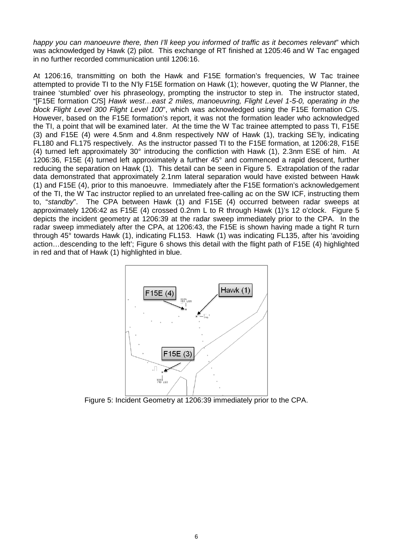*happy you can manoeuvre there, then I'll keep you informed of traffic as it becomes relevant*" which was acknowledged by Hawk (2) pilot. This exchange of RT finished at 1205:46 and W Tac engaged in no further recorded communication until 1206:16.

At 1206:16, transmitting on both the Hawk and F15E formation's frequencies, W Tac trainee attempted to provide TI to the N'ly F15E formation on Hawk (1); however, quoting the W Planner, the trainee 'stumbled' over his phraseology, prompting the instructor to step in. The instructor stated, "[F15E formation C/S] *Hawk west…east 2 miles, manoeuvring, Flight Level 1-5-0, operating in the block Flight Level 300 Flight Level 100*", which was acknowledged using the F15E formation C/S. However, based on the F15E formation's report, it was not the formation leader who acknowledged the TI, a point that will be examined later. At the time the W Tac trainee attempted to pass TI, F15E (3) and F15E (4) were 4.5nm and 4.8nm respectively NW of Hawk (1), tracking SE'ly, indicating FL180 and FL175 respectively. As the instructor passed TI to the F15E formation, at 1206:28, F15E (4) turned left approximately 30° introducing the confliction with Hawk (1), 2.3nm ESE of him. At 1206:36, F15E (4) turned left approximately a further 45° and commenced a rapid descent, further reducing the separation on Hawk (1). This detail can be seen in Figure 5. Extrapolation of the radar data demonstrated that approximately 2.1nm lateral separation would have existed between Hawk (1) and F15E (4), prior to this manoeuvre. Immediately after the F15E formation's acknowledgement of the TI, the W Tac instructor replied to an unrelated free-calling ac on the SW ICF, instructing them to, "*standby*". The CPA between Hawk (1) and F15E (4) occurred between radar sweeps at approximately 1206:42 as F15E (4) crossed 0.2nm L to R through Hawk (1)'s 12 o'clock. Figure 5 depicts the incident geometry at 1206:39 at the radar sweep immediately prior to the CPA. In the radar sweep immediately after the CPA, at 1206:43, the F15E is shown having made a tight R turn through 45° towards Hawk (1), indicating FL153. Hawk (1) was indicating FL135, after his 'avoiding action…descending to the left'; Figure 6 shows this detail with the flight path of F15E (4) highlighted in red and that of Hawk (1) highlighted in blue.



Figure 5: Incident Geometry at 1206:39 immediately prior to the CPA.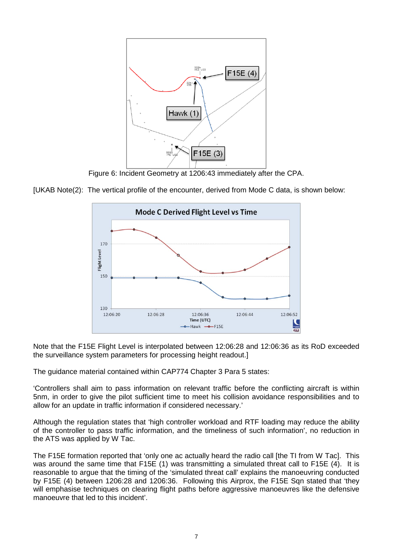

Figure 6: Incident Geometry at 1206:43 immediately after the CPA.





Note that the F15E Flight Level is interpolated between 12:06:28 and 12:06:36 as its RoD exceeded the surveillance system parameters for processing height readout.]

The guidance material contained within CAP774 Chapter 3 Para 5 states:

'Controllers shall aim to pass information on relevant traffic before the conflicting aircraft is within 5nm, in order to give the pilot sufficient time to meet his collision avoidance responsibilities and to allow for an update in traffic information if considered necessary.'

Although the regulation states that 'high controller workload and RTF loading may reduce the ability of the controller to pass traffic information, and the timeliness of such information', no reduction in the ATS was applied by W Tac.

The F15E formation reported that 'only one ac actually heard the radio call [the TI from W Tac]. This was around the same time that F15E (1) was transmitting a simulated threat call to F15E (4). It is reasonable to argue that the timing of the 'simulated threat call' explains the manoeuvring conducted by F15E (4) between 1206:28 and 1206:36. Following this Airprox, the F15E Sqn stated that 'they will emphasise techniques on clearing flight paths before aggressive manoeuvres like the defensive manoeuvre that led to this incident'.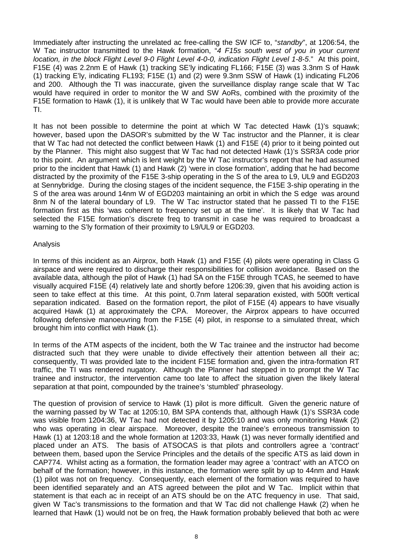Immediately after instructing the unrelated ac free-calling the SW ICF to, "*standby*", at 1206:54, the W Tac instructor transmitted to the Hawk formation, "*4 F15s south west of you in your current location, in the block Flight Level 9-0 Flight Level 4-0-0, indication Flight Level 1-8-5*." At this point, F15E (4) was 2.2nm E of Hawk (1) tracking SE'ly indicating FL166; F15E (3) was 3.3nm S of Hawk (1) tracking E'ly, indicating FL193; F15E (1) and (2) were 9.3nm SSW of Hawk (1) indicating FL206 and 200. Although the TI was inaccurate, given the surveillance display range scale that W Tac would have required in order to monitor the W and SW AoRs, combined with the proximity of the F15E formation to Hawk (1), it is unlikely that W Tac would have been able to provide more accurate TI.

It has not been possible to determine the point at which W Tac detected Hawk (1)'s squawk; however, based upon the DASOR's submitted by the W Tac instructor and the Planner, it is clear that W Tac had not detected the conflict between Hawk (1) and F15E (4) prior to it being pointed out by the Planner. This might also suggest that W Tac had not detected Hawk (1)'s SSR3A code prior to this point. An argument which is lent weight by the W Tac instructor's report that he had assumed prior to the incident that Hawk (1) and Hawk (2) 'were in close formation', adding that he had become distracted by the proximity of the F15E 3-ship operating in the S of the area to L9, UL9 and EGD203 at Sennybridge. During the closing stages of the incident sequence, the F15E 3-ship operating in the S of the area was around 14nm W of EGD203 maintaining an orbit in which the S edge was around 8nm N of the lateral boundary of L9. The W Tac instructor stated that he passed TI to the F15E formation first as this 'was coherent to frequency set up at the time'. It is likely that W Tac had selected the F15E formation's discrete freq to transmit in case he was required to broadcast a warning to the S'ly formation of their proximity to L9/UL9 or EGD203.

#### Analysis

In terms of this incident as an Airprox, both Hawk (1) and F15E (4) pilots were operating in Class G airspace and were required to discharge their responsibilities for collision avoidance. Based on the available data, although the pilot of Hawk (1) had SA on the F15E through TCAS, he seemed to have visually acquired F15E (4) relatively late and shortly before 1206:39, given that his avoiding action is seen to take effect at this time. At this point, 0.7nm lateral separation existed, with 500ft vertical separation indicated. Based on the formation report, the pilot of F15E (4) appears to have visually acquired Hawk (1) at approximately the CPA. Moreover, the Airprox appears to have occurred following defensive manoeuvring from the F15E (4) pilot, in response to a simulated threat, which brought him into conflict with Hawk (1).

In terms of the ATM aspects of the incident, both the W Tac trainee and the instructor had become distracted such that they were unable to divide effectively their attention between all their ac; consequently, TI was provided late to the incident F15E formation and, given the intra-formation RT traffic, the TI was rendered nugatory. Although the Planner had stepped in to prompt the W Tac trainee and instructor, the intervention came too late to affect the situation given the likely lateral separation at that point, compounded by the trainee's 'stumbled' phraseology.

The question of provision of service to Hawk (1) pilot is more difficult. Given the generic nature of the warning passed by W Tac at 1205:10, BM SPA contends that, although Hawk (1)'s SSR3A code was visible from 1204:36, W Tac had not detected it by 1205:10 and was only monitoring Hawk (2) who was operating in clear airspace. Moreover, despite the trainee's erroneous transmission to Hawk (1) at 1203:18 and the whole formation at 1203:33, Hawk (1) was never formally identified and placed under an ATS. The basis of ATSOCAS is that pilots and controllers agree a 'contract' between them, based upon the Service Principles and the details of the specific ATS as laid down in CAP774. Whilst acting as a formation, the formation leader may agree a 'contract' with an ATCO on behalf of the formation; however, in this instance, the formation were split by up to 44nm and Hawk (1) pilot was not on frequency. Consequently, each element of the formation was required to have been identified separately and an ATS agreed between the pilot and W Tac. Implicit within that statement is that each ac in receipt of an ATS should be on the ATC frequency in use. That said, given W Tac's transmissions to the formation and that W Tac did not challenge Hawk (2) when he learned that Hawk (1) would not be on freq, the Hawk formation probably believed that both ac were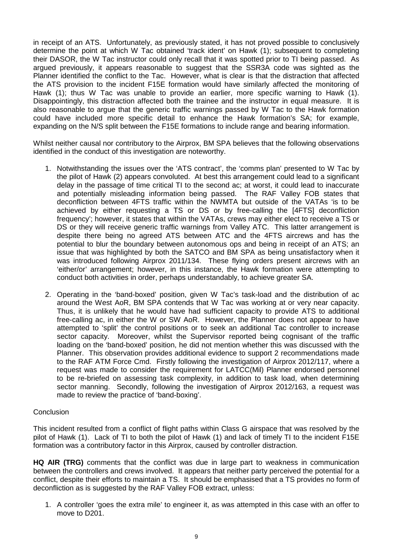in receipt of an ATS. Unfortunately, as previously stated, it has not proved possible to conclusively determine the point at which W Tac obtained 'track ident' on Hawk (1); subsequent to completing their DASOR, the W Tac instructor could only recall that it was spotted prior to TI being passed. As argued previously, it appears reasonable to suggest that the SSR3A code was sighted as the Planner identified the conflict to the Tac. However, what is clear is that the distraction that affected the ATS provision to the incident F15E formation would have similarly affected the monitoring of Hawk (1); thus W Tac was unable to provide an earlier, more specific warning to Hawk (1). Disappointingly, this distraction affected both the trainee and the instructor in equal measure. It is also reasonable to argue that the generic traffic warnings passed by W Tac to the Hawk formation could have included more specific detail to enhance the Hawk formation's SA; for example, expanding on the N/S split between the F15E formations to include range and bearing information.

Whilst neither causal nor contributory to the Airprox, BM SPA believes that the following observations identified in the conduct of this investigation are noteworthy.

- 1. Notwithstanding the issues over the 'ATS contract', the 'comms plan' presented to W Tac by the pilot of Hawk (2) appears convoluted. At best this arrangement could lead to a significant delay in the passage of time critical TI to the second ac; at worst, it could lead to inaccurate and potentially misleading information being passed. The RAF Valley FOB states that deconfliction between 4FTS traffic within the NWMTA but outside of the VATAs 'is to be achieved by either requesting a TS or DS or by free-calling the [4FTS] deconfliction frequency'; however, it states that within the VATAs, crews may either elect to receive a TS or DS or they will receive generic traffic warnings from Valley ATC. This latter arrangement is despite there being no agreed ATS between ATC and the 4FTS aircrews and has the potential to blur the boundary between autonomous ops and being in receipt of an ATS; an issue that was highlighted by both the SATCO and BM SPA as being unsatisfactory when it was introduced following Airprox 2011/134. These flying orders present aircrews with an 'either/or' arrangement; however, in this instance, the Hawk formation were attempting to conduct both activities in order, perhaps understandably, to achieve greater SA.
- 2. Operating in the 'band-boxed' position, given W Tac's task-load and the distribution of ac around the West AoR, BM SPA contends that W Tac was working at or very near capacity. Thus, it is unlikely that he would have had sufficient capacity to provide ATS to additional free-calling ac, in either the W or SW AoR. However, the Planner does not appear to have attempted to 'split' the control positions or to seek an additional Tac controller to increase sector capacity. Moreover, whilst the Supervisor reported being cognisant of the traffic loading on the 'band-boxed' position, he did not mention whether this was discussed with the Planner. This observation provides additional evidence to support 2 recommendations made to the RAF ATM Force Cmd. Firstly following the investigation of Airprox 2012/117, where a request was made to consider the requirement for LATCC(Mil) Planner endorsed personnel to be re-briefed on assessing task complexity, in addition to task load, when determining sector manning. Secondly, following the investigation of Airprox 2012/163, a request was made to review the practice of 'band-boxing'.

#### **Conclusion**

This incident resulted from a conflict of flight paths within Class G airspace that was resolved by the pilot of Hawk (1). Lack of TI to both the pilot of Hawk (1) and lack of timely TI to the incident F15E formation was a contributory factor in this Airprox, caused by controller distraction.

**HQ AIR (TRG)** comments that the conflict was due in large part to weakness in communication between the controllers and crews involved. It appears that neither party perceived the potential for a conflict, despite their efforts to maintain a TS. It should be emphasised that a TS provides no form of deconfliction as is suggested by the RAF Valley FOB extract, unless:

1. A controller 'goes the extra mile' to engineer it, as was attempted in this case with an offer to move to D201.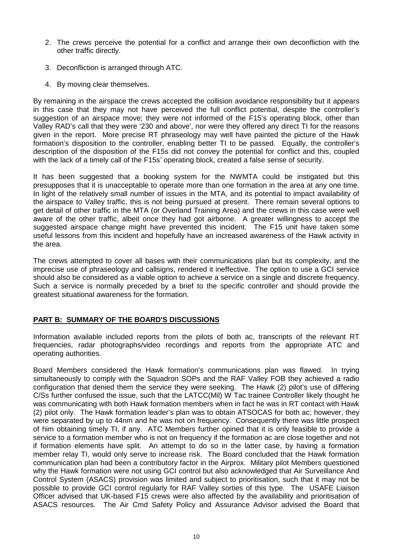- 2. The crews perceive the potential for a conflict and arrange their own deconfliction with the other traffic directly.
- 3. Deconfliction is arranged through ATC.
- 4. By moving clear themselves.

By remaining in the airspace the crews accepted the collision avoidance responsibility but it appears in this case that they may not have perceived the full conflict potential, despite the controller's suggestion of an airspace move; they were not informed of the F15's operating block, other than Valley RAD's call that they were '230 and above', nor were they offered any direct TI for the reasons given in the report. More precise RT phraseology may well have painted the picture of the Hawk formation's disposition to the controller, enabling better TI to be passed. Equally, the controller's description of the disposition of the F15s did not convey the potential for conflict and this, coupled with the lack of a timely call of the F15s' operating block, created a false sense of security.

It has been suggested that a booking system for the NWMTA could be instigated but this presupposes that it is unacceptable to operate more than one formation in the area at any one time. In light of the relatively small number of issues in the MTA, and its potential to impact availability of the airspace to Valley traffic, this is not being pursued at present. There remain several options to get detail of other traffic in the MTA (or Overland Training Area) and the crews in this case were well aware of the other traffic, albeit once they had got airborne. A greater willingness to accept the suggested airspace change might have prevented this incident. The F15 unit have taken some useful lessons from this incident and hopefully have an increased awareness of the Hawk activity in the area.

The crews attempted to cover all bases with their communications plan but its complexity, and the imprecise use of phraseology and callsigns, rendered it ineffective. The option to use a GCI service should also be considered as a viable option to achieve a service on a single and discrete frequency. Such a service is normally preceded by a brief to the specific controller and should provide the greatest situational awareness for the formation.

# **PART B: SUMMARY OF THE BOARD'S DISCUSSIONS**

Information available included reports from the pilots of both ac, transcripts of the relevant RT frequencies, radar photographs/video recordings and reports from the appropriate ATC and operating authorities.

Board Members considered the Hawk formation's communications plan was flawed. In trying simultaneously to comply with the Squadron SOPs and the RAF Valley FOB they achieved a radio configuration that denied them the service they were seeking. The Hawk (2) pilot's use of differing C/Ss further confused the issue, such that the LATCC(Mil) W Tac trainee Controller likely thought he was communicating with both Hawk formation members when in fact he was in RT contact with Hawk (2) pilot only. The Hawk formation leader's plan was to obtain ATSOCAS for both ac; however, they were separated by up to 44nm and he was not on frequency. Consequently there was little prospect of him obtaining timely TI, if any. ATC Members further opined that it is only feasible to provide a service to a formation member who is not on frequency if the formation ac are close together and not if formation elements have split. An attempt to do so in the latter case, by having a formation member relay TI, would only serve to increase risk. The Board concluded that the Hawk formation communication plan had been a contributory factor in the Airprox. Military pilot Members questioned why the Hawk formation were not using GCI control but also acknowledged that Air Surveillance And Control System (ASACS) provision was limited and subject to prioritisation, such that it may not be possible to provide GCI control regularly for RAF Valley sorties of this type. The USAFE Liaison Officer advised that UK-based F15 crews were also affected by the availability and prioritisation of ASACS resources. The Air Cmd Safety Policy and Assurance Advisor advised the Board that